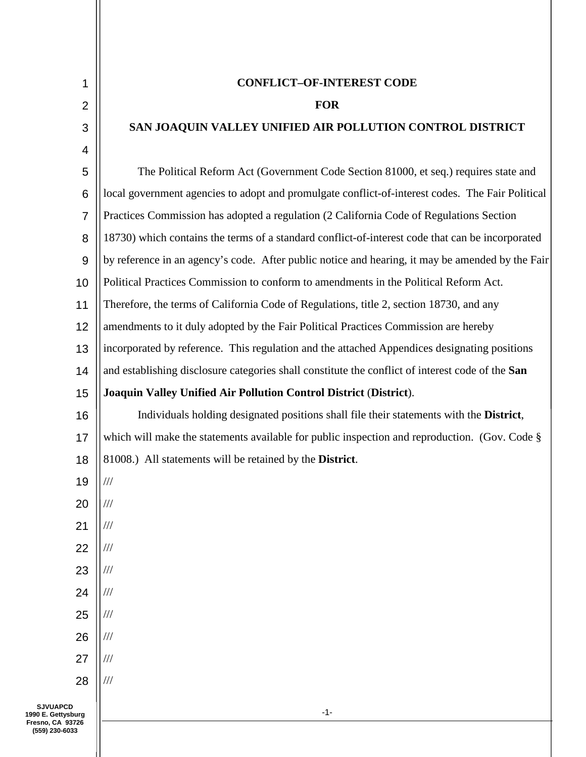| 1      |
|--------|
| ٢<br>í |
|        |

3

4

1

## **CONFLICT–OF-INTEREST CODE**

## **FOR**

## **SAN JOAQUIN VALLEY UNIFIED AIR POLLUTION CONTROL DISTRICT**

-1- 5 6 7 8 9 10 11 12 13 14 15 16 17 18 19 20 21 22 23 24 25 26 27 28 **SJVUAPCD** The Political Reform Act (Government Code Section 81000, et seq.) requires state and local government agencies to adopt and promulgate conflict-of-interest codes. The Fair Political Practices Commission has adopted a regulation (2 California Code of Regulations Section 18730) which contains the terms of a standard conflict-of-interest code that can be incorporated by reference in an agency's code. After public notice and hearing, it may be amended by the Fair Political Practices Commission to conform to amendments in the Political Reform Act. Therefore, the terms of California Code of Regulations, title 2, section 18730, and any amendments to it duly adopted by the Fair Political Practices Commission are hereby incorporated by reference. This regulation and the attached Appendices designating positions and establishing disclosure categories shall constitute the conflict of interest code of the **San Joaquin Valley Unified Air Pollution Control District** (**District**). Individuals holding designated positions shall file their statements with the **District**, which will make the statements available for public inspection and reproduction. (Gov. Code § 81008.) All statements will be retained by the **District**. /// /// /// /// /// /// /// /// /// ///

**1990 E. Gettysburg Fresno, CA 93726 (559) 230-6033**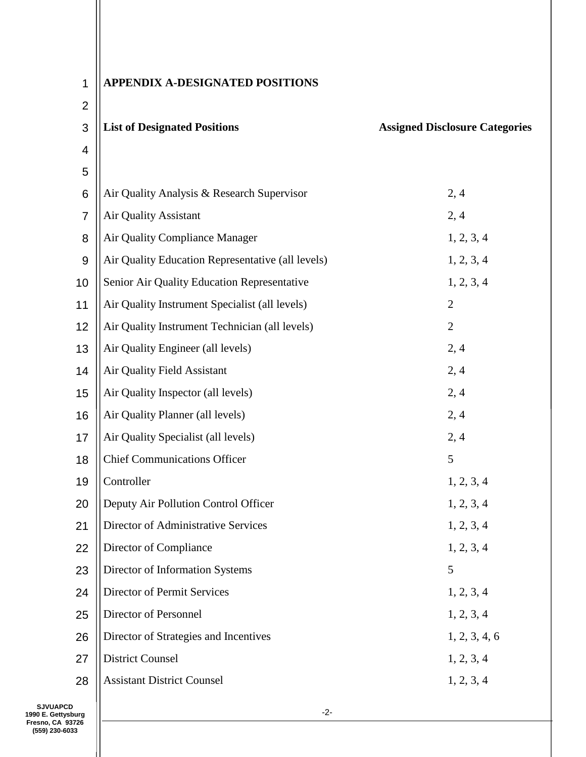| 1              | <b>APPENDIX A-DESIGNATED POSITIONS</b>            |                                       |
|----------------|---------------------------------------------------|---------------------------------------|
| $\overline{2}$ |                                                   |                                       |
| 3              | <b>List of Designated Positions</b>               | <b>Assigned Disclosure Categories</b> |
| 4              |                                                   |                                       |
| 5              |                                                   |                                       |
| 6              | Air Quality Analysis & Research Supervisor        | 2, 4                                  |
| $\overline{7}$ | Air Quality Assistant                             | 2, 4                                  |
| 8              | Air Quality Compliance Manager                    | 1, 2, 3, 4                            |
| 9              | Air Quality Education Representative (all levels) | 1, 2, 3, 4                            |
| 10             | Senior Air Quality Education Representative       | 1, 2, 3, 4                            |
| 11             | Air Quality Instrument Specialist (all levels)    | $\overline{2}$                        |
| 12             | Air Quality Instrument Technician (all levels)    | $\mathfrak{2}$                        |
| 13             | Air Quality Engineer (all levels)                 | 2, 4                                  |
| 14             | Air Quality Field Assistant                       | 2, 4                                  |
| 15             | Air Quality Inspector (all levels)                | 2, 4                                  |
| 16             | Air Quality Planner (all levels)                  | 2, 4                                  |
| 17             | Air Quality Specialist (all levels)               | 2, 4                                  |
| 18             | <b>Chief Communications Officer</b>               | 5                                     |
| 19             | Controller                                        | 1, 2, 3, 4                            |
| 20             | Deputy Air Pollution Control Officer              | 1, 2, 3, 4                            |
| 21             | Director of Administrative Services               | 1, 2, 3, 4                            |
| 22             | Director of Compliance                            | 1, 2, 3, 4                            |
| 23             | Director of Information Systems                   | 5                                     |
| 24             | Director of Permit Services                       | 1, 2, 3, 4                            |
| 25             | Director of Personnel                             | 1, 2, 3, 4                            |
| 26             | Director of Strategies and Incentives             | 1, 2, 3, 4, 6                         |
| 27             | <b>District Counsel</b>                           | 1, 2, 3, 4                            |
| 28             | <b>Assistant District Counsel</b>                 | 1, 2, 3, 4                            |
|                |                                                   |                                       |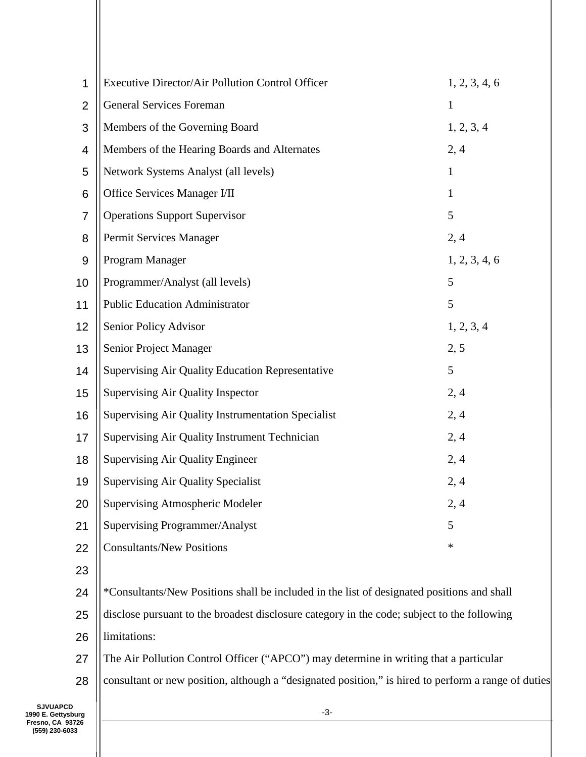| 1              | Executive Director/Air Pollution Control Officer<br>1, 2, 3, 4, 6                           |               |  |
|----------------|---------------------------------------------------------------------------------------------|---------------|--|
| $\overline{2}$ | <b>General Services Foreman</b>                                                             | $\mathbf{1}$  |  |
| 3              | Members of the Governing Board                                                              | 1, 2, 3, 4    |  |
| 4              | Members of the Hearing Boards and Alternates                                                | 2, 4          |  |
| 5              | Network Systems Analyst (all levels)<br>$\mathbf{1}$                                        |               |  |
| 6              | Office Services Manager I/II<br>$\mathbf{1}$                                                |               |  |
| 7              | <b>Operations Support Supervisor</b><br>5                                                   |               |  |
| 8              | Permit Services Manager<br>2, 4                                                             |               |  |
| $9$            | Program Manager                                                                             | 1, 2, 3, 4, 6 |  |
| 10             | Programmer/Analyst (all levels)<br>5                                                        |               |  |
| 11             | <b>Public Education Administrator</b><br>5                                                  |               |  |
| 12             | Senior Policy Advisor<br>1, 2, 3, 4                                                         |               |  |
| 13             | Senior Project Manager<br>2, 5                                                              |               |  |
| 14             | Supervising Air Quality Education Representative<br>5                                       |               |  |
| 15             | Supervising Air Quality Inspector<br>2, 4                                                   |               |  |
| 16             | Supervising Air Quality Instrumentation Specialist<br>2,4                                   |               |  |
| 17             | Supervising Air Quality Instrument Technician<br>2, 4                                       |               |  |
| 18             | <b>Supervising Air Quality Engineer</b>                                                     | 2,4           |  |
| 19             | <b>Supervising Air Quality Specialist</b><br>2,4                                            |               |  |
| 20             | <b>Supervising Atmospheric Modeler</b>                                                      | 2,4           |  |
| 21             | <b>Supervising Programmer/Analyst</b><br>5                                                  |               |  |
| 22             | <b>Consultants/New Positions</b>                                                            | $\ast$        |  |
| 23             |                                                                                             |               |  |
| 24             | *Consultants/New Positions shall be included in the list of designated positions and shall  |               |  |
| 25             | disclose pursuant to the broadest disclosure category in the code; subject to the following |               |  |
| 26             | limitations:                                                                                |               |  |
|                |                                                                                             |               |  |

- 27 The Air Pollution Control Officer ("APCO") may determine in writing that a particular
- 28 consultant or new position, although a "designated position," is hired to perform a range of duties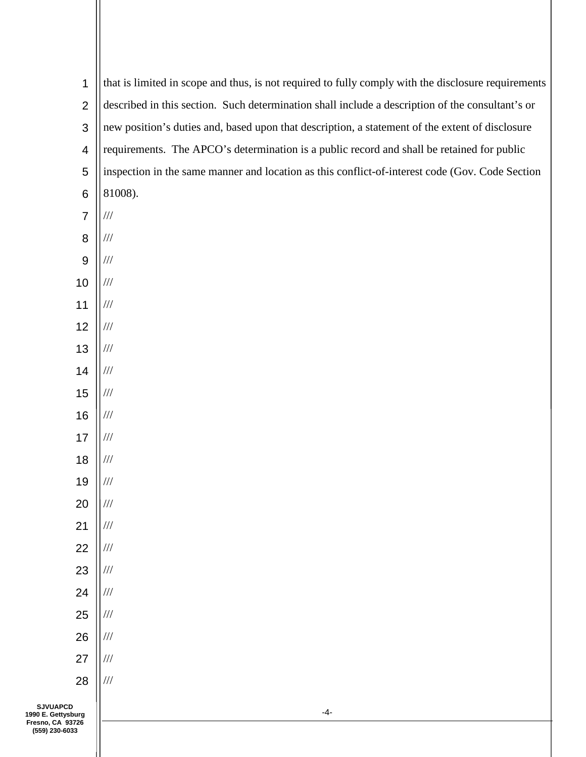| $\mathbf 1$                           | that is limited in scope and thus, is not required to fully comply with the disclosure requirements |  |  |
|---------------------------------------|-----------------------------------------------------------------------------------------------------|--|--|
| $\overline{2}$                        | described in this section. Such determination shall include a description of the consultant's or    |  |  |
| 3                                     | new position's duties and, based upon that description, a statement of the extent of disclosure     |  |  |
| $\overline{\mathbf{4}}$               | requirements. The APCO's determination is a public record and shall be retained for public          |  |  |
| 5                                     | inspection in the same manner and location as this conflict-of-interest code (Gov. Code Section     |  |  |
| $\,6$                                 | 81008).                                                                                             |  |  |
| $\overline{7}$                        | $/\!/ /$                                                                                            |  |  |
| $\bf 8$                               | $/\!/ \!/$                                                                                          |  |  |
| $9$                                   | $/\!/ \!/$                                                                                          |  |  |
| 10                                    | $/\!/ /$                                                                                            |  |  |
| 11                                    | $/\!/ /$                                                                                            |  |  |
| 12                                    | $/\!/ /$                                                                                            |  |  |
| 13                                    | $/\!/ /$                                                                                            |  |  |
| 14                                    | $/\!/ \!/$                                                                                          |  |  |
| 15                                    | $/\!/ \!/$                                                                                          |  |  |
| 16                                    | $/\!/ \!/$                                                                                          |  |  |
| 17                                    | $/\!/ /$                                                                                            |  |  |
| 18                                    | $/\!/ \!/$                                                                                          |  |  |
| 19                                    | $/\!/ \!/$                                                                                          |  |  |
| 20                                    | $/\!/ \!/$                                                                                          |  |  |
| 21                                    | $/\!/ /$                                                                                            |  |  |
| 22                                    | $/\!/ /$                                                                                            |  |  |
| 23                                    | $/\!/ /$                                                                                            |  |  |
| 24                                    | $/\!/ \!/$                                                                                          |  |  |
| 25                                    | $/\!/ /$                                                                                            |  |  |
| 26                                    | $/\!/ \!/$                                                                                          |  |  |
| 27                                    | $/\!/ \!/$                                                                                          |  |  |
| 28                                    | $/\!/ \!/$                                                                                          |  |  |
| <b>SJVUAPCD</b><br>1990 E. Gettysburg | $-4-$                                                                                               |  |  |

**Fresno, CA 93726 (559) 230-6033**

 $\mathbf{I}$